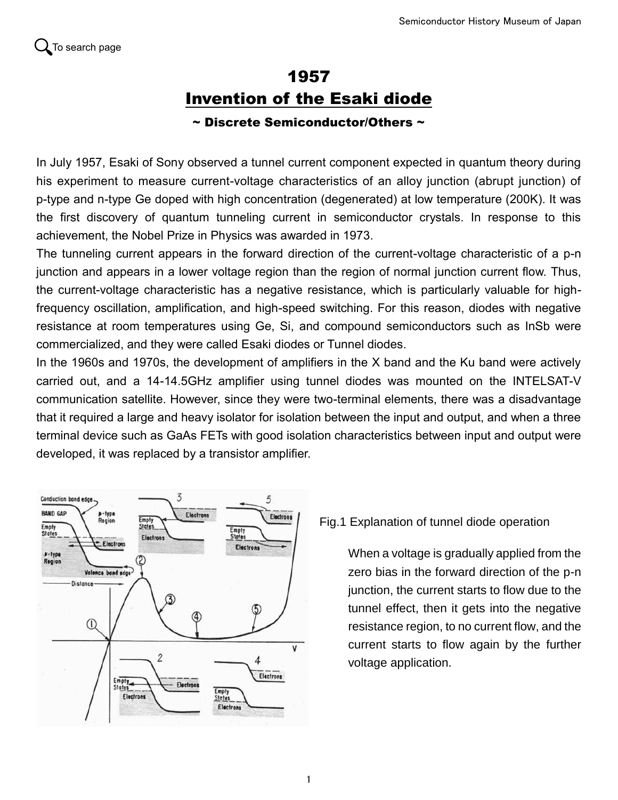## 1957 Invention of the Esaki diode

## $\sim$  Discrete Semiconductor/Others  $\sim$

In July 1957, Esaki of Sony observed a tunnel current component expected in quantum theory during his experiment to measure current-voltage characteristics of an alloy junction (abrupt junction) of p-type and n-type Ge doped with high concentration (degenerated) at low temperature (200K). It was the first discovery of quantum tunneling current in semiconductor crystals. In response to this achievement, the Nobel Prize in Physics was awarded in 1973.

The tunneling current appears in the forward direction of the current-voltage characteristic of a p-n junction and appears in a lower voltage region than the region of normal junction current flow. Thus, the current-voltage characteristic has a negative resistance, which is particularly valuable for highfrequency oscillation, amplification, and high-speed switching. For this reason, diodes with negative resistance at room temperatures using Ge, Si, and compound semiconductors such as InSb were commercialized, and they were called Esaki diodes or Tunnel diodes.

In the 1960s and 1970s, the development of amplifiers in the X band and the Ku band were actively carried out, and a 14-14.5GHz amplifier using tunnel diodes was mounted on the INTELSAT-V communication satellite. However, since they were two-terminal elements, there was a disadvantage that it required a large and heavy isolator for isolation between the input and output, and when a three terminal device such as GaAs FETs with good isolation characteristics between input and output were developed, it was replaced by a transistor amplifier.



Fig.1 Explanation of tunnel diode operation

When a voltage is gradually applied from the zero bias in the forward direction of the p-n junction, the current starts to flow due to the tunnel effect, then it gets into the negative resistance region, to no current flow, and the current starts to flow again by the further voltage application.